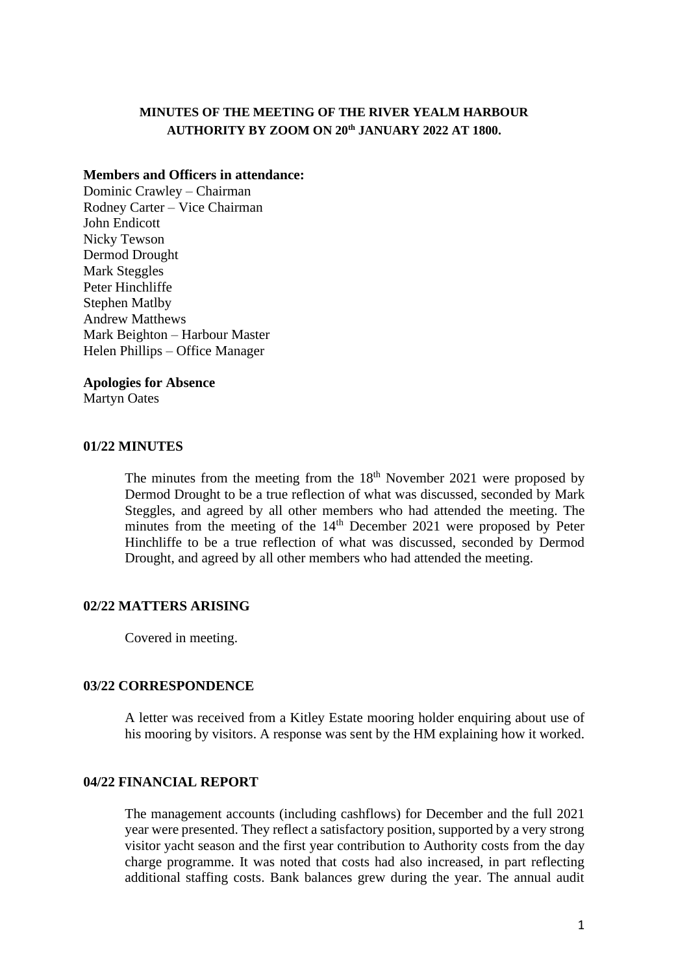## **MINUTES OF THE MEETING OF THE RIVER YEALM HARBOUR AUTHORITY BY ZOOM ON 20th JANUARY 2022 AT 1800.**

#### **Members and Officers in attendance:**

Dominic Crawley – Chairman Rodney Carter – Vice Chairman John Endicott Nicky Tewson Dermod Drought Mark Steggles Peter Hinchliffe Stephen Matlby Andrew Matthews Mark Beighton – Harbour Master Helen Phillips – Office Manager

#### **Apologies for Absence**

Martyn Oates

#### **01/22 MINUTES**

The minutes from the meeting from the  $18<sup>th</sup>$  November 2021 were proposed by Dermod Drought to be a true reflection of what was discussed, seconded by Mark Steggles, and agreed by all other members who had attended the meeting. The minutes from the meeting of the 14<sup>th</sup> December 2021 were proposed by Peter Hinchliffe to be a true reflection of what was discussed, seconded by Dermod Drought, and agreed by all other members who had attended the meeting.

## **02/22 MATTERS ARISING**

Covered in meeting.

#### **03/22 CORRESPONDENCE**

A letter was received from a Kitley Estate mooring holder enquiring about use of his mooring by visitors. A response was sent by the HM explaining how it worked.

## **04/22 FINANCIAL REPORT**

The management accounts (including cashflows) for December and the full 2021 year were presented. They reflect a satisfactory position, supported by a very strong visitor yacht season and the first year contribution to Authority costs from the day charge programme. It was noted that costs had also increased, in part reflecting additional staffing costs. Bank balances grew during the year. The annual audit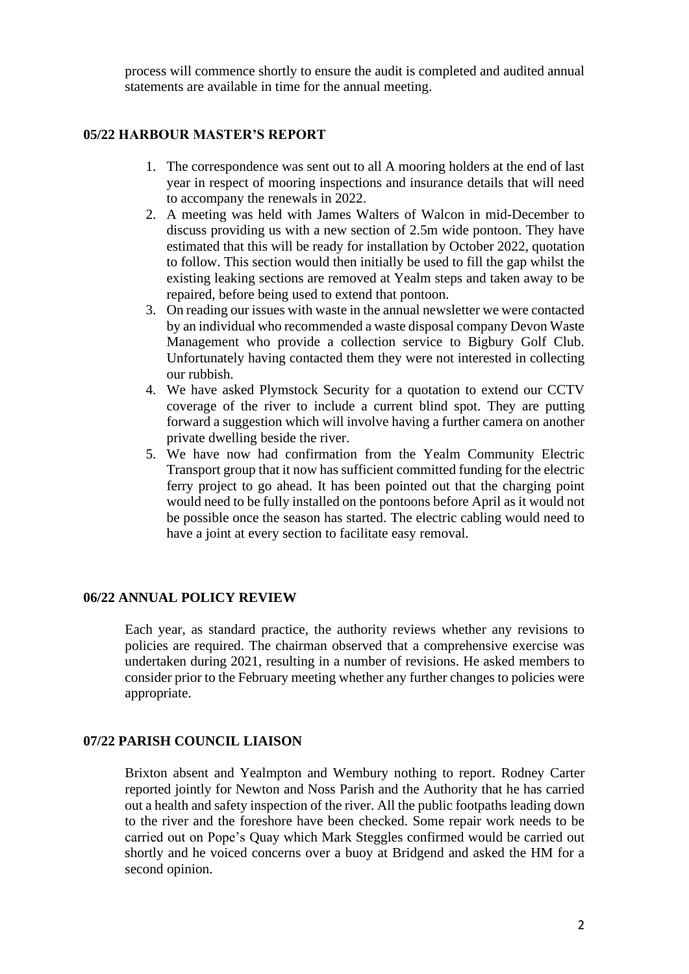process will commence shortly to ensure the audit is completed and audited annual statements are available in time for the annual meeting.

## **05/22 HARBOUR MASTER'S REPORT**

- 1. The correspondence was sent out to all A mooring holders at the end of last year in respect of mooring inspections and insurance details that will need to accompany the renewals in 2022.
- 2. A meeting was held with James Walters of Walcon in mid-December to discuss providing us with a new section of 2.5m wide pontoon. They have estimated that this will be ready for installation by October 2022, quotation to follow. This section would then initially be used to fill the gap whilst the existing leaking sections are removed at Yealm steps and taken away to be repaired, before being used to extend that pontoon.
- 3. On reading our issues with waste in the annual newsletter we were contacted by an individual who recommended a waste disposal company Devon Waste Management who provide a collection service to Bigbury Golf Club. Unfortunately having contacted them they were not interested in collecting our rubbish.
- 4. We have asked Plymstock Security for a quotation to extend our CCTV coverage of the river to include a current blind spot. They are putting forward a suggestion which will involve having a further camera on another private dwelling beside the river.
- 5. We have now had confirmation from the Yealm Community Electric Transport group that it now has sufficient committed funding for the electric ferry project to go ahead. It has been pointed out that the charging point would need to be fully installed on the pontoons before April as it would not be possible once the season has started. The electric cabling would need to have a joint at every section to facilitate easy removal.

#### **06/22 ANNUAL POLICY REVIEW**

Each year, as standard practice, the authority reviews whether any revisions to policies are required. The chairman observed that a comprehensive exercise was undertaken during 2021, resulting in a number of revisions. He asked members to consider prior to the February meeting whether any further changes to policies were appropriate.

#### **07/22 PARISH COUNCIL LIAISON**

Brixton absent and Yealmpton and Wembury nothing to report. Rodney Carter reported jointly for Newton and Noss Parish and the Authority that he has carried out a health and safety inspection of the river. All the public footpaths leading down to the river and the foreshore have been checked. Some repair work needs to be carried out on Pope's Quay which Mark Steggles confirmed would be carried out shortly and he voiced concerns over a buoy at Bridgend and asked the HM for a second opinion.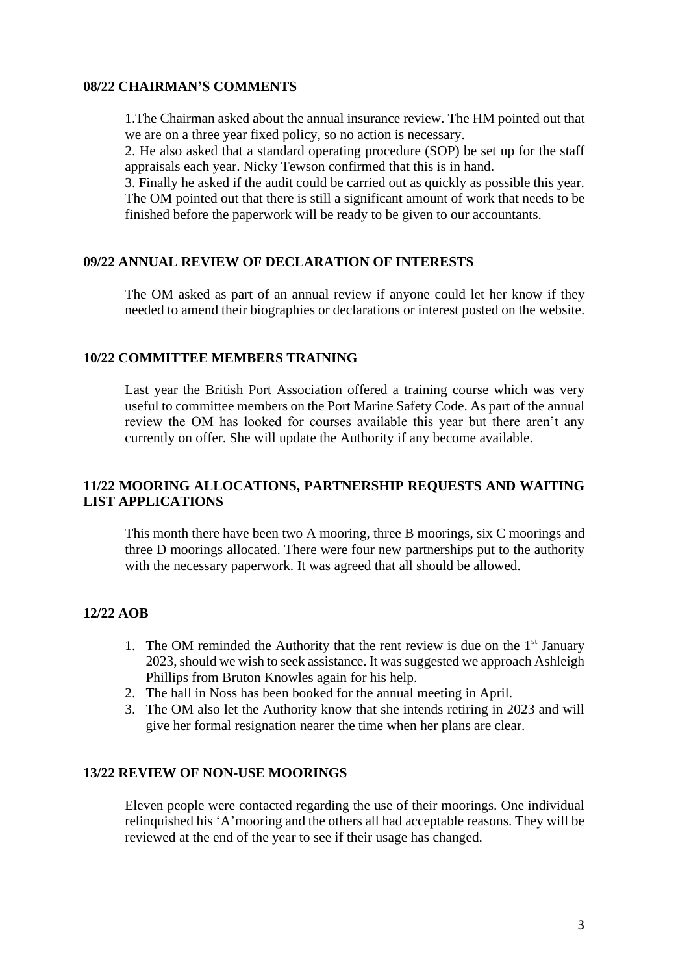## **08/22 CHAIRMAN'S COMMENTS**

1.The Chairman asked about the annual insurance review. The HM pointed out that we are on a three year fixed policy, so no action is necessary.

2. He also asked that a standard operating procedure (SOP) be set up for the staff appraisals each year. Nicky Tewson confirmed that this is in hand.

3. Finally he asked if the audit could be carried out as quickly as possible this year. The OM pointed out that there is still a significant amount of work that needs to be finished before the paperwork will be ready to be given to our accountants.

## **09/22 ANNUAL REVIEW OF DECLARATION OF INTERESTS**

The OM asked as part of an annual review if anyone could let her know if they needed to amend their biographies or declarations or interest posted on the website.

## **10/22 COMMITTEE MEMBERS TRAINING**

Last year the British Port Association offered a training course which was very useful to committee members on the Port Marine Safety Code. As part of the annual review the OM has looked for courses available this year but there aren't any currently on offer. She will update the Authority if any become available.

## **11/22 MOORING ALLOCATIONS, PARTNERSHIP REQUESTS AND WAITING LIST APPLICATIONS**

This month there have been two A mooring, three B moorings, six C moorings and three D moorings allocated. There were four new partnerships put to the authority with the necessary paperwork. It was agreed that all should be allowed.

## **12/22 AOB**

- 1. The OM reminded the Authority that the rent review is due on the  $1<sup>st</sup>$  January 2023, should we wish to seek assistance. It was suggested we approach Ashleigh Phillips from Bruton Knowles again for his help.
- 2. The hall in Noss has been booked for the annual meeting in April.
- 3. The OM also let the Authority know that she intends retiring in 2023 and will give her formal resignation nearer the time when her plans are clear.

#### **13/22 REVIEW OF NON-USE MOORINGS**

Eleven people were contacted regarding the use of their moorings. One individual relinquished his 'A'mooring and the others all had acceptable reasons. They will be reviewed at the end of the year to see if their usage has changed.